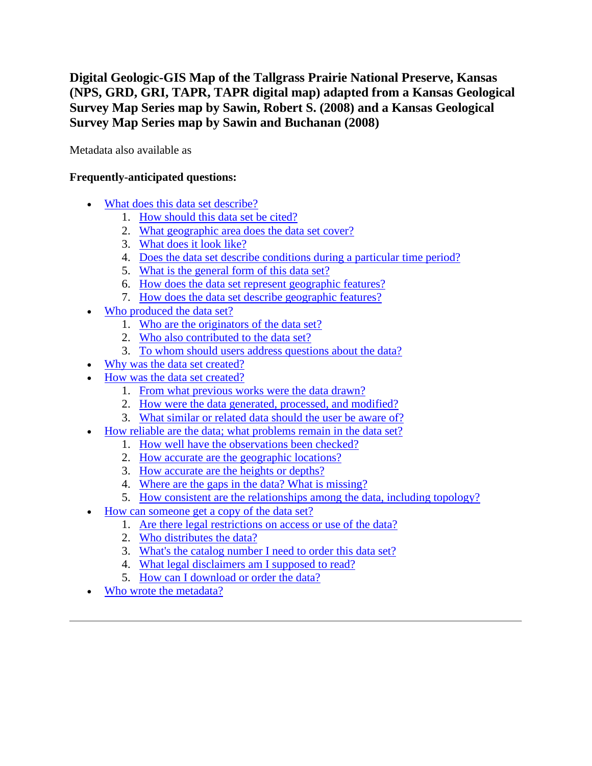**Digital Geologic-GIS Map of the Tallgrass Prairie National Preserve, Kansas (NPS, GRD, GRI, TAPR, TAPR digital map) adapted from a Kansas Geological Survey Map Series map by Sawin, Robert S. (2008) and a Kansas Geological Survey Map Series map by Sawin and Buchanan (2008)**

Metadata also available as

## **Frequently-anticipated questions:**

- [What does this data set describe?](#page-0-0)
	- 1. [How should this data set be cited?](#page-2-0)
	- 2. [What geographic area does the data set cover?](#page-2-1)
	- 3. [What does it look like?](#page-2-2)
	- 4. [Does the data set describe conditions during a particular time period?](#page-3-0)
	- 5. [What is the general form of this data set?](#page-3-1)
	- 6. [How does the data set represent geographic features?](#page-3-2)
	- 7. [How does the data set describe geographic features?](#page-3-3)
- [Who produced the data set?](#page-4-0)
	- 1. [Who are the originators of the data set?](#page-4-1)
	- 2. [Who also contributed to the data set?](#page-4-2)
	- 3. [To whom should users address questions about the data?](#page-4-3)
- [Why was the data set created?](#page-4-4)
- [How was the data set created?](#page-4-5)
	- 1. [From what previous works were the data drawn?](#page-4-6)
	- 2. [How were the data generated, processed, and modified?](#page-5-0)
	- 3. [What similar or related data should the user be aware of?](#page-6-0)
- [How reliable are the data; what problems remain in the data set?](#page-6-1)
	- 1. [How well have the observations been checked?](#page-6-2)
	- 2. [How accurate are the geographic locations?](#page-7-0)
	- 3. [How accurate are the heights or depths?](#page-7-1)
	- 4. [Where are the gaps in the data? What is missing?](#page-7-2)
	- 5. [How consistent are the relationships among the data, including topology?](#page-7-3)
- [How can someone get a copy of the data set?](#page-7-4)
	- 1. [Are there legal restrictions on access or use of the data?](#page-7-5)
	- 2. [Who distributes the data?](#page-8-0)
	- 3. [What's the catalog number I need to order this data set?](#page-8-1)
	- 4. [What legal disclaimers am I supposed to read?](#page-8-2)
	- 5. [How can I download or order the data?](#page-9-0)
- <span id="page-0-0"></span>[Who wrote the metadata?](#page-9-1)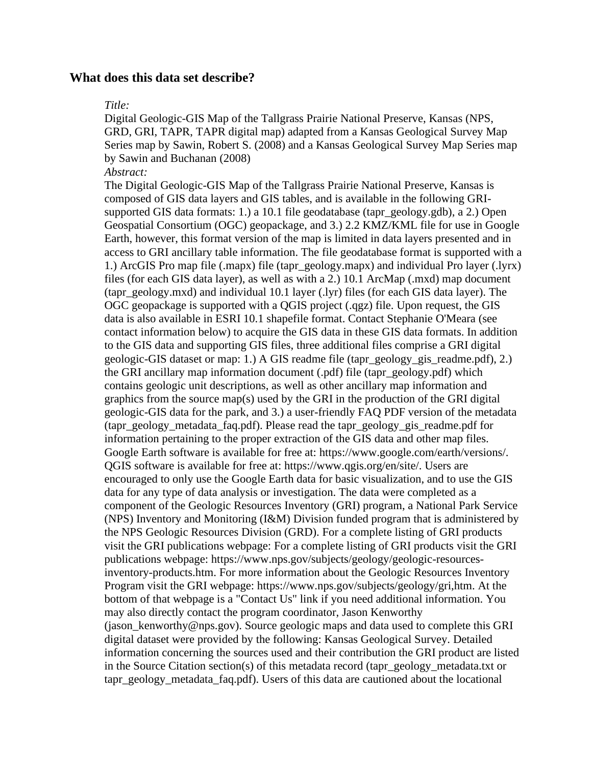#### **What does this data set describe?**

#### *Title:*

Digital Geologic-GIS Map of the Tallgrass Prairie National Preserve, Kansas (NPS, GRD, GRI, TAPR, TAPR digital map) adapted from a Kansas Geological Survey Map Series map by Sawin, Robert S. (2008) and a Kansas Geological Survey Map Series map by Sawin and Buchanan (2008)

#### *Abstract:*

The Digital Geologic-GIS Map of the Tallgrass Prairie National Preserve, Kansas is composed of GIS data layers and GIS tables, and is available in the following GRIsupported GIS data formats: 1.) a 10.1 file geodatabase (tapr\_geology.gdb), a 2.) Open Geospatial Consortium (OGC) geopackage, and 3.) 2.2 KMZ/KML file for use in Google Earth, however, this format version of the map is limited in data layers presented and in access to GRI ancillary table information. The file geodatabase format is supported with a 1.) ArcGIS Pro map file (.mapx) file (tapr\_geology.mapx) and individual Pro layer (.lyrx) files (for each GIS data layer), as well as with a 2.) 10.1 ArcMap (.mxd) map document (tapr\_geology.mxd) and individual 10.1 layer (.lyr) files (for each GIS data layer). The OGC geopackage is supported with a QGIS project (.qgz) file. Upon request, the GIS data is also available in ESRI 10.1 shapefile format. Contact Stephanie O'Meara (see contact information below) to acquire the GIS data in these GIS data formats. In addition to the GIS data and supporting GIS files, three additional files comprise a GRI digital geologic-GIS dataset or map: 1.) A GIS readme file (tapr\_geology\_gis\_readme.pdf), 2.) the GRI ancillary map information document (.pdf) file (tapr\_geology.pdf) which contains geologic unit descriptions, as well as other ancillary map information and graphics from the source map(s) used by the GRI in the production of the GRI digital geologic-GIS data for the park, and 3.) a user-friendly FAQ PDF version of the metadata (tapr\_geology\_metadata\_faq.pdf). Please read the tapr\_geology\_gis\_readme.pdf for information pertaining to the proper extraction of the GIS data and other map files. Google Earth software is available for free at: https://www.google.com/earth/versions/. QGIS software is available for free at: https://www.qgis.org/en/site/. Users are encouraged to only use the Google Earth data for basic visualization, and to use the GIS data for any type of data analysis or investigation. The data were completed as a component of the Geologic Resources Inventory (GRI) program, a National Park Service (NPS) Inventory and Monitoring (I&M) Division funded program that is administered by the NPS Geologic Resources Division (GRD). For a complete listing of GRI products visit the GRI publications webpage: For a complete listing of GRI products visit the GRI publications webpage: https://www.nps.gov/subjects/geology/geologic-resourcesinventory-products.htm. For more information about the Geologic Resources Inventory Program visit the GRI webpage: https://www.nps.gov/subjects/geology/gri,htm. At the bottom of that webpage is a "Contact Us" link if you need additional information. You may also directly contact the program coordinator, Jason Kenworthy (jason\_kenworthy@nps.gov). Source geologic maps and data used to complete this GRI digital dataset were provided by the following: Kansas Geological Survey. Detailed information concerning the sources used and their contribution the GRI product are listed in the Source Citation section(s) of this metadata record (tapr\_geology\_metadata.txt or tapr\_geology\_metadata\_faq.pdf). Users of this data are cautioned about the locational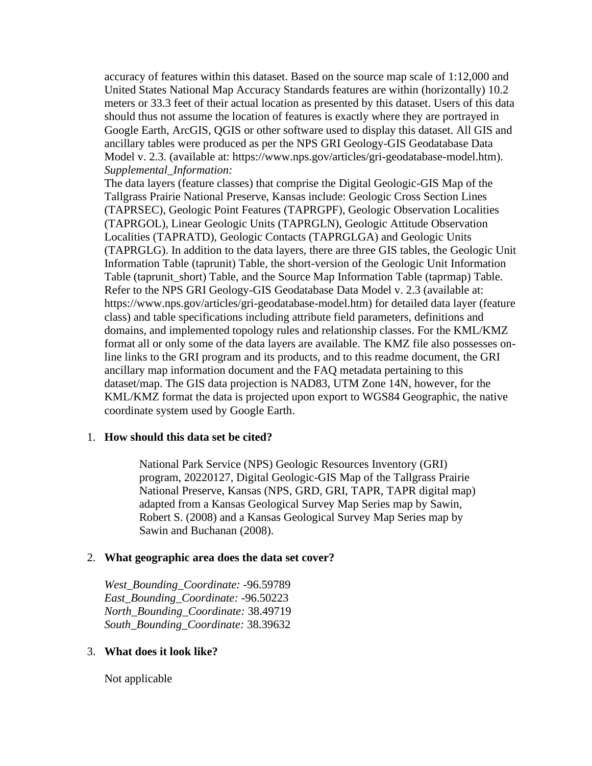accuracy of features within this dataset. Based on the source map scale of 1:12,000 and United States National Map Accuracy Standards features are within (horizontally) 10.2 meters or 33.3 feet of their actual location as presented by this dataset. Users of this data should thus not assume the location of features is exactly where they are portrayed in Google Earth, ArcGIS, QGIS or other software used to display this dataset. All GIS and ancillary tables were produced as per the NPS GRI Geology-GIS Geodatabase Data Model v. 2.3. (available at: https://www.nps.gov/articles/gri-geodatabase-model.htm). *Supplemental\_Information:*

The data layers (feature classes) that comprise the Digital Geologic-GIS Map of the Tallgrass Prairie National Preserve, Kansas include: Geologic Cross Section Lines (TAPRSEC), Geologic Point Features (TAPRGPF), Geologic Observation Localities (TAPRGOL), Linear Geologic Units (TAPRGLN), Geologic Attitude Observation Localities (TAPRATD), Geologic Contacts (TAPRGLGA) and Geologic Units (TAPRGLG). In addition to the data layers, there are three GIS tables, the Geologic Unit Information Table (taprunit) Table, the short-version of the Geologic Unit Information Table (taprunit short) Table, and the Source Map Information Table (taprmap) Table. Refer to the NPS GRI Geology-GIS Geodatabase Data Model v. 2.3 (available at: https://www.nps.gov/articles/gri-geodatabase-model.htm) for detailed data layer (feature class) and table specifications including attribute field parameters, definitions and domains, and implemented topology rules and relationship classes. For the KML/KMZ format all or only some of the data layers are available. The KMZ file also possesses online links to the GRI program and its products, and to this readme document, the GRI ancillary map information document and the FAQ metadata pertaining to this dataset/map. The GIS data projection is NAD83, UTM Zone 14N, however, for the KML/KMZ format the data is projected upon export to WGS84 Geographic, the native coordinate system used by Google Earth.

#### <span id="page-2-0"></span>1. **How should this data set be cited?**

National Park Service (NPS) Geologic Resources Inventory (GRI) program, 20220127, Digital Geologic-GIS Map of the Tallgrass Prairie National Preserve, Kansas (NPS, GRD, GRI, TAPR, TAPR digital map) adapted from a Kansas Geological Survey Map Series map by Sawin, Robert S. (2008) and a Kansas Geological Survey Map Series map by Sawin and Buchanan (2008).

## <span id="page-2-1"></span>2. **What geographic area does the data set cover?**

*West\_Bounding\_Coordinate:* -96.59789 *East\_Bounding\_Coordinate:* -96.50223 *North\_Bounding\_Coordinate:* 38.49719 *South\_Bounding\_Coordinate:* 38.39632

## <span id="page-2-2"></span>3. **What does it look like?**

Not applicable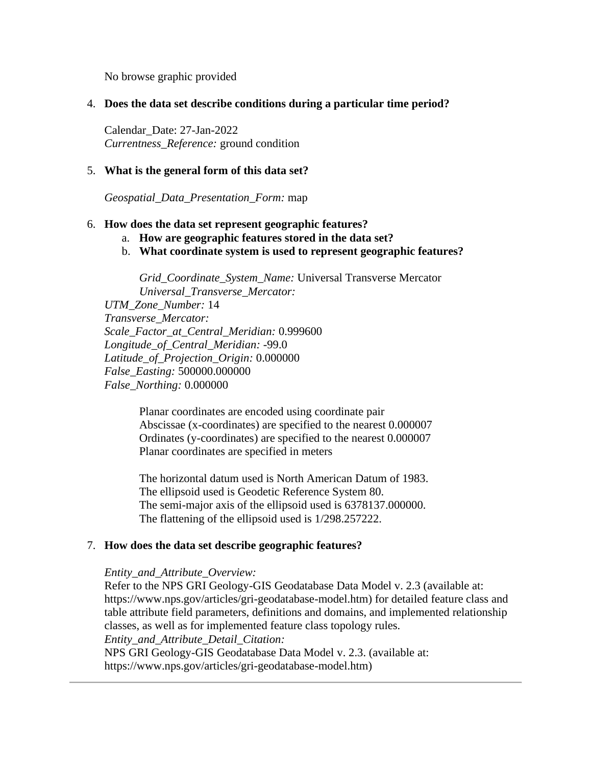No browse graphic provided

### <span id="page-3-0"></span>4. **Does the data set describe conditions during a particular time period?**

Calendar\_Date: 27-Jan-2022 *Currentness\_Reference:* ground condition

#### <span id="page-3-1"></span>5. **What is the general form of this data set?**

*Geospatial\_Data\_Presentation\_Form:* map

#### <span id="page-3-2"></span>6. **How does the data set represent geographic features?**

- a. **How are geographic features stored in the data set?**
- b. **What coordinate system is used to represent geographic features?**

*Grid\_Coordinate\_System\_Name:* Universal Transverse Mercator *Universal\_Transverse\_Mercator:*

*UTM\_Zone\_Number:* 14 *Transverse\_Mercator: Scale\_Factor\_at\_Central\_Meridian:* 0.999600 *Longitude\_of\_Central\_Meridian:* -99.0 *Latitude\_of\_Projection\_Origin:* 0.000000 *False\_Easting:* 500000.000000 *False\_Northing:* 0.000000

> Planar coordinates are encoded using coordinate pair Abscissae (x-coordinates) are specified to the nearest 0.000007 Ordinates (y-coordinates) are specified to the nearest 0.000007 Planar coordinates are specified in meters

> The horizontal datum used is North American Datum of 1983. The ellipsoid used is Geodetic Reference System 80. The semi-major axis of the ellipsoid used is 6378137.000000. The flattening of the ellipsoid used is 1/298.257222.

## <span id="page-3-3"></span>7. **How does the data set describe geographic features?**

#### *Entity\_and\_Attribute\_Overview:*

Refer to the NPS GRI Geology-GIS Geodatabase Data Model v. 2.3 (available at: https://www.nps.gov/articles/gri-geodatabase-model.htm) for detailed feature class and table attribute field parameters, definitions and domains, and implemented relationship classes, as well as for implemented feature class topology rules. *Entity\_and\_Attribute\_Detail\_Citation:* NPS GRI Geology-GIS Geodatabase Data Model v. 2.3. (available at: https://www.nps.gov/articles/gri-geodatabase-model.htm)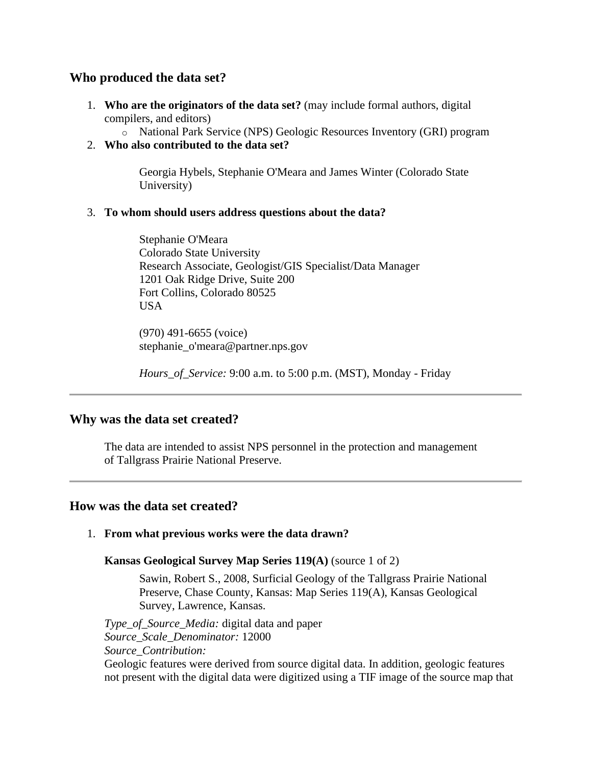## <span id="page-4-0"></span>**Who produced the data set?**

- <span id="page-4-1"></span>1. **Who are the originators of the data set?** (may include formal authors, digital compilers, and editors)
	- o National Park Service (NPS) Geologic Resources Inventory (GRI) program
- <span id="page-4-2"></span>2. **Who also contributed to the data set?**

Georgia Hybels, Stephanie O'Meara and James Winter (Colorado State University)

## <span id="page-4-3"></span>3. **To whom should users address questions about the data?**

Stephanie O'Meara Colorado State University Research Associate, Geologist/GIS Specialist/Data Manager 1201 Oak Ridge Drive, Suite 200 Fort Collins, Colorado 80525 USA

(970) 491-6655 (voice) stephanie\_o'meara@partner.nps.gov

*Hours\_of\_Service:* 9:00 a.m. to 5:00 p.m. (MST), Monday - Friday

## <span id="page-4-4"></span>**Why was the data set created?**

The data are intended to assist NPS personnel in the protection and management of Tallgrass Prairie National Preserve.

## <span id="page-4-5"></span>**How was the data set created?**

## <span id="page-4-6"></span>1. **From what previous works were the data drawn?**

**Kansas Geological Survey Map Series 119(A)** (source 1 of 2)

Sawin, Robert S., 2008, Surficial Geology of the Tallgrass Prairie National Preserve, Chase County, Kansas: Map Series 119(A), Kansas Geological Survey, Lawrence, Kansas.

*Type\_of\_Source\_Media:* digital data and paper *Source\_Scale\_Denominator:* 12000 *Source\_Contribution:*

Geologic features were derived from source digital data. In addition, geologic features not present with the digital data were digitized using a TIF image of the source map that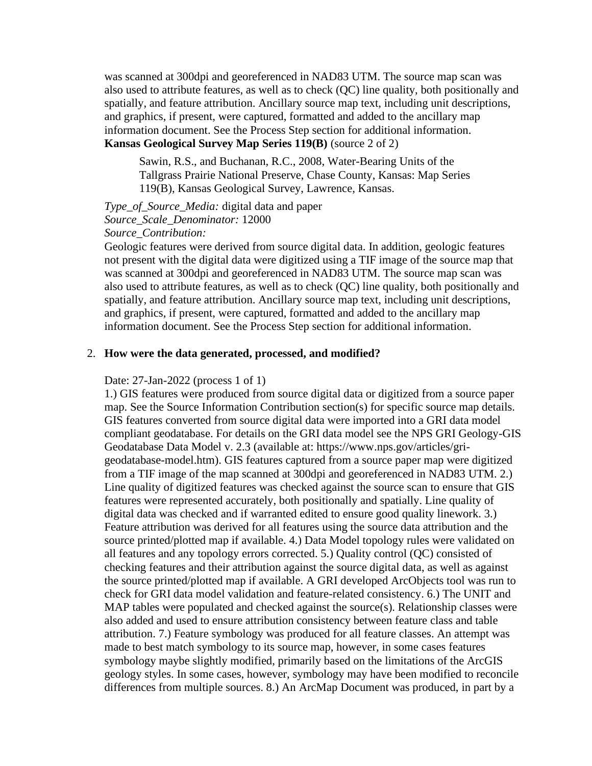was scanned at 300dpi and georeferenced in NAD83 UTM. The source map scan was also used to attribute features, as well as to check (QC) line quality, both positionally and spatially, and feature attribution. Ancillary source map text, including unit descriptions, and graphics, if present, were captured, formatted and added to the ancillary map information document. See the Process Step section for additional information. **Kansas Geological Survey Map Series 119(B)** (source 2 of 2)

Sawin, R.S., and Buchanan, R.C., 2008, Water-Bearing Units of the Tallgrass Prairie National Preserve, Chase County, Kansas: Map Series 119(B), Kansas Geological Survey, Lawrence, Kansas.

*Type\_of\_Source\_Media:* digital data and paper *Source\_Scale\_Denominator:* 12000 *Source\_Contribution:*

Geologic features were derived from source digital data. In addition, geologic features not present with the digital data were digitized using a TIF image of the source map that was scanned at 300dpi and georeferenced in NAD83 UTM. The source map scan was also used to attribute features, as well as to check (QC) line quality, both positionally and spatially, and feature attribution. Ancillary source map text, including unit descriptions, and graphics, if present, were captured, formatted and added to the ancillary map information document. See the Process Step section for additional information.

#### <span id="page-5-0"></span>2. **How were the data generated, processed, and modified?**

#### Date: 27-Jan-2022 (process 1 of 1)

1.) GIS features were produced from source digital data or digitized from a source paper map. See the Source Information Contribution section(s) for specific source map details. GIS features converted from source digital data were imported into a GRI data model compliant geodatabase. For details on the GRI data model see the NPS GRI Geology-GIS Geodatabase Data Model v. 2.3 (available at: https://www.nps.gov/articles/grigeodatabase-model.htm). GIS features captured from a source paper map were digitized from a TIF image of the map scanned at 300dpi and georeferenced in NAD83 UTM. 2.) Line quality of digitized features was checked against the source scan to ensure that GIS features were represented accurately, both positionally and spatially. Line quality of digital data was checked and if warranted edited to ensure good quality linework. 3.) Feature attribution was derived for all features using the source data attribution and the source printed/plotted map if available. 4.) Data Model topology rules were validated on all features and any topology errors corrected. 5.) Quality control (QC) consisted of checking features and their attribution against the source digital data, as well as against the source printed/plotted map if available. A GRI developed ArcObjects tool was run to check for GRI data model validation and feature-related consistency. 6.) The UNIT and MAP tables were populated and checked against the source(s). Relationship classes were also added and used to ensure attribution consistency between feature class and table attribution. 7.) Feature symbology was produced for all feature classes. An attempt was made to best match symbology to its source map, however, in some cases features symbology maybe slightly modified, primarily based on the limitations of the ArcGIS geology styles. In some cases, however, symbology may have been modified to reconcile differences from multiple sources. 8.) An ArcMap Document was produced, in part by a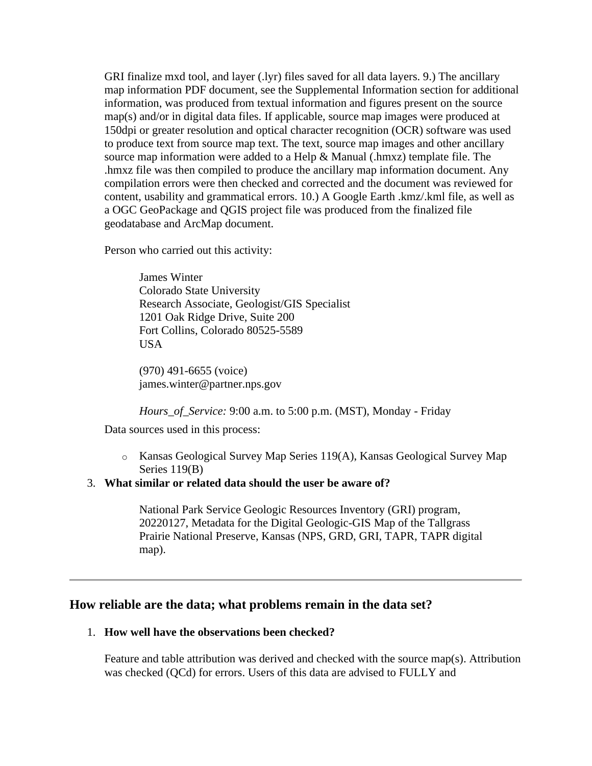GRI finalize mxd tool, and layer (.lyr) files saved for all data layers. 9.) The ancillary map information PDF document, see the Supplemental Information section for additional information, was produced from textual information and figures present on the source map(s) and/or in digital data files. If applicable, source map images were produced at 150dpi or greater resolution and optical character recognition (OCR) software was used to produce text from source map text. The text, source map images and other ancillary source map information were added to a Help & Manual (.hmxz) template file. The .hmxz file was then compiled to produce the ancillary map information document. Any compilation errors were then checked and corrected and the document was reviewed for content, usability and grammatical errors. 10.) A Google Earth .kmz/.kml file, as well as a OGC GeoPackage and QGIS project file was produced from the finalized file geodatabase and ArcMap document.

Person who carried out this activity:

James Winter Colorado State University Research Associate, Geologist/GIS Specialist 1201 Oak Ridge Drive, Suite 200 Fort Collins, Colorado 80525-5589 USA

(970) 491-6655 (voice) james.winter@partner.nps.gov

*Hours\_of\_Service:* 9:00 a.m. to 5:00 p.m. (MST), Monday - Friday

Data sources used in this process:

o Kansas Geological Survey Map Series 119(A), Kansas Geological Survey Map Series 119(B)

## <span id="page-6-0"></span>3. **What similar or related data should the user be aware of?**

National Park Service Geologic Resources Inventory (GRI) program, 20220127, Metadata for the Digital Geologic-GIS Map of the Tallgrass Prairie National Preserve, Kansas (NPS, GRD, GRI, TAPR, TAPR digital map).

## <span id="page-6-1"></span>**How reliable are the data; what problems remain in the data set?**

#### <span id="page-6-2"></span>1. **How well have the observations been checked?**

Feature and table attribution was derived and checked with the source map(s). Attribution was checked (QCd) for errors. Users of this data are advised to FULLY and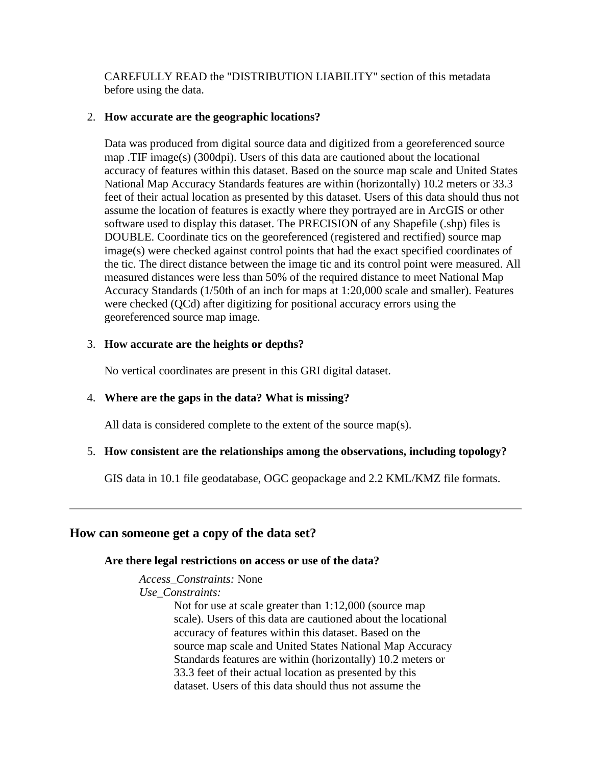CAREFULLY READ the "DISTRIBUTION LIABILITY" section of this metadata before using the data.

## <span id="page-7-0"></span>2. **How accurate are the geographic locations?**

Data was produced from digital source data and digitized from a georeferenced source map .TIF image(s) (300dpi). Users of this data are cautioned about the locational accuracy of features within this dataset. Based on the source map scale and United States National Map Accuracy Standards features are within (horizontally) 10.2 meters or 33.3 feet of their actual location as presented by this dataset. Users of this data should thus not assume the location of features is exactly where they portrayed are in ArcGIS or other software used to display this dataset. The PRECISION of any Shapefile (.shp) files is DOUBLE. Coordinate tics on the georeferenced (registered and rectified) source map image(s) were checked against control points that had the exact specified coordinates of the tic. The direct distance between the image tic and its control point were measured. All measured distances were less than 50% of the required distance to meet National Map Accuracy Standards (1/50th of an inch for maps at 1:20,000 scale and smaller). Features were checked (QCd) after digitizing for positional accuracy errors using the georeferenced source map image.

## <span id="page-7-1"></span>3. **How accurate are the heights or depths?**

No vertical coordinates are present in this GRI digital dataset.

## <span id="page-7-2"></span>4. **Where are the gaps in the data? What is missing?**

All data is considered complete to the extent of the source map(s).

## <span id="page-7-3"></span>5. **How consistent are the relationships among the observations, including topology?**

GIS data in 10.1 file geodatabase, OGC geopackage and 2.2 KML/KMZ file formats.

## <span id="page-7-5"></span><span id="page-7-4"></span>**How can someone get a copy of the data set?**

## **Are there legal restrictions on access or use of the data?**

*Access\_Constraints:* None *Use\_Constraints:*

> Not for use at scale greater than 1:12,000 (source map scale). Users of this data are cautioned about the locational accuracy of features within this dataset. Based on the source map scale and United States National Map Accuracy Standards features are within (horizontally) 10.2 meters or 33.3 feet of their actual location as presented by this dataset. Users of this data should thus not assume the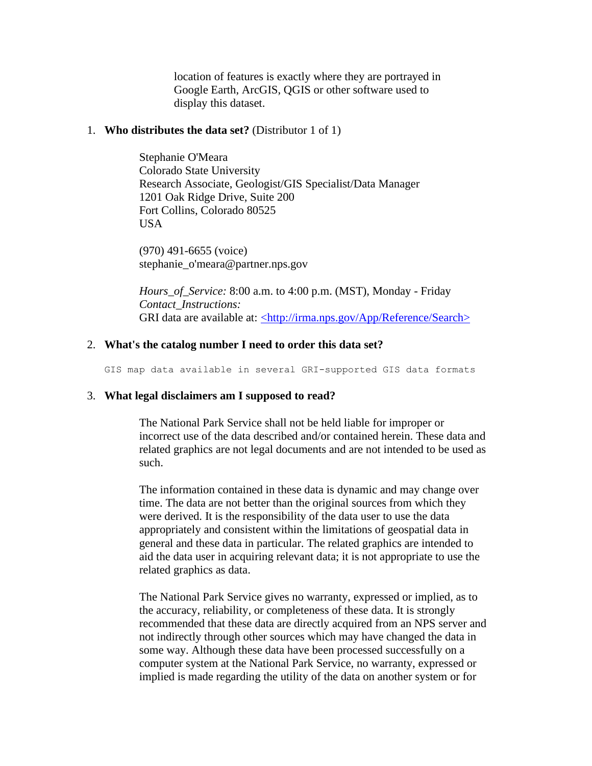location of features is exactly where they are portrayed in Google Earth, ArcGIS, QGIS or other software used to display this dataset.

#### <span id="page-8-0"></span>1. **Who distributes the data set?** (Distributor 1 of 1)

Stephanie O'Meara Colorado State University Research Associate, Geologist/GIS Specialist/Data Manager 1201 Oak Ridge Drive, Suite 200 Fort Collins, Colorado 80525 **USA** 

(970) 491-6655 (voice) stephanie\_o'meara@partner.nps.gov

*Hours\_of\_Service:* 8:00 a.m. to 4:00 p.m. (MST), Monday - Friday *Contact\_Instructions:* GRI data are available at: [<http://irma.nps.gov/App/Reference/Search>](http://irma.nps.gov/App/Reference/Search)

#### <span id="page-8-1"></span>2. **What's the catalog number I need to order this data set?**

GIS map data available in several GRI-supported GIS data formats

#### <span id="page-8-2"></span>3. **What legal disclaimers am I supposed to read?**

The National Park Service shall not be held liable for improper or incorrect use of the data described and/or contained herein. These data and related graphics are not legal documents and are not intended to be used as such.

The information contained in these data is dynamic and may change over time. The data are not better than the original sources from which they were derived. It is the responsibility of the data user to use the data appropriately and consistent within the limitations of geospatial data in general and these data in particular. The related graphics are intended to aid the data user in acquiring relevant data; it is not appropriate to use the related graphics as data.

The National Park Service gives no warranty, expressed or implied, as to the accuracy, reliability, or completeness of these data. It is strongly recommended that these data are directly acquired from an NPS server and not indirectly through other sources which may have changed the data in some way. Although these data have been processed successfully on a computer system at the National Park Service, no warranty, expressed or implied is made regarding the utility of the data on another system or for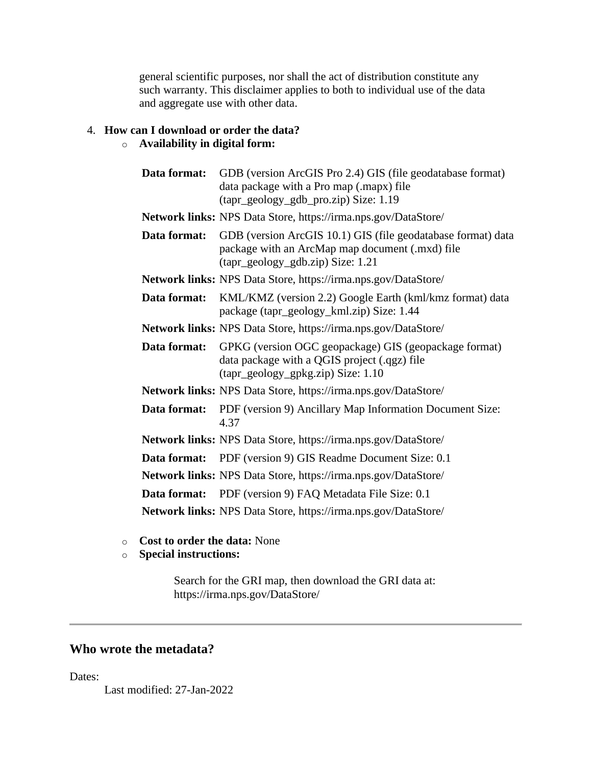general scientific purposes, nor shall the act of distribution constitute any such warranty. This disclaimer applies to both to individual use of the data and aggregate use with other data.

# <span id="page-9-0"></span>4. **How can I download or order the data?**

## o **Availability in digital form:**

| Data format: | GDB (version ArcGIS Pro 2.4) GIS (file geodatabase format)<br>data package with a Pro map (.mapx) file<br>(tapr_geology_gdb_pro.zip) Size: 1.19      |
|--------------|------------------------------------------------------------------------------------------------------------------------------------------------------|
|              | <b>Network links:</b> NPS Data Store, https://irma.nps.gov/DataStore/                                                                                |
| Data format: | GDB (version ArcGIS 10.1) GIS (file geodatabase format) data<br>package with an ArcMap map document (.mxd) file<br>(tapr_geology_gdb.zip) Size: 1.21 |
|              | <b>Network links:</b> NPS Data Store, https://irma.nps.gov/DataStore/                                                                                |
| Data format: | KML/KMZ (version 2.2) Google Earth (kml/kmz format) data<br>package (tapr_geology_kml.zip) Size: 1.44                                                |
|              | Network links: NPS Data Store, https://irma.nps.gov/DataStore/                                                                                       |
| Data format: | GPKG (version OGC geopackage) GIS (geopackage format)<br>data package with a QGIS project (.qgz) file<br>(tapr_geology_gpkg.zip) Size: 1.10          |
|              | <b>Network links:</b> NPS Data Store, https://irma.nps.gov/DataStore/                                                                                |
| Data format: | PDF (version 9) Ancillary Map Information Document Size:<br>4.37                                                                                     |
|              | Network links: NPS Data Store, https://irma.nps.gov/DataStore/                                                                                       |
| Data format: | PDF (version 9) GIS Readme Document Size: 0.1                                                                                                        |
|              | <b>Network links:</b> NPS Data Store, https://irma.nps.gov/DataStore/                                                                                |
|              | <b>Data format:</b> PDF (version 9) FAQ Metadata File Size: 0.1                                                                                      |
|              | Network links: NPS Data Store, https://irma.nps.gov/DataStore/                                                                                       |

- o **Cost to order the data:** None
- o **Special instructions:**

Search for the GRI map, then download the GRI data at: https://irma.nps.gov/DataStore/

# <span id="page-9-1"></span>**Who wrote the metadata?**

Dates:

Last modified: 27-Jan-2022